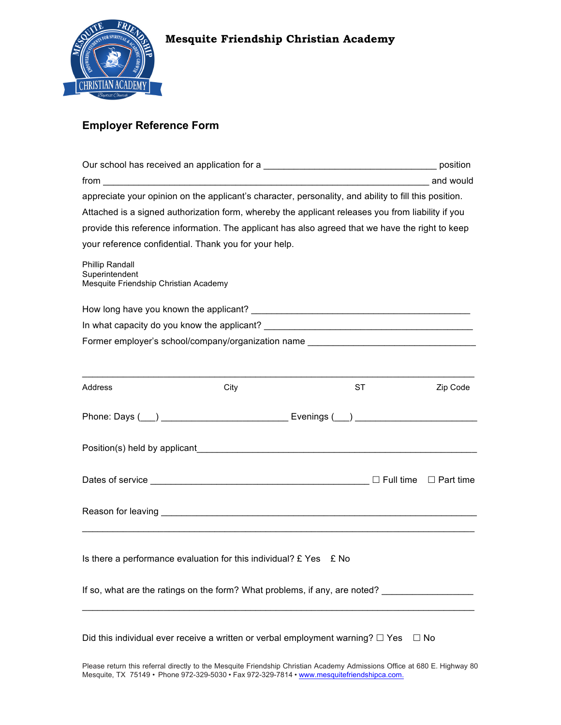

# **Employer Reference Form**

|                                                                                                  | appreciate your opinion on the applicant's character, personality, and ability to fill this position.                                                                                                                  |           |           |  |  |  |
|--------------------------------------------------------------------------------------------------|------------------------------------------------------------------------------------------------------------------------------------------------------------------------------------------------------------------------|-----------|-----------|--|--|--|
|                                                                                                  | Attached is a signed authorization form, whereby the applicant releases you from liability if you                                                                                                                      |           |           |  |  |  |
| provide this reference information. The applicant has also agreed that we have the right to keep |                                                                                                                                                                                                                        |           |           |  |  |  |
|                                                                                                  | your reference confidential. Thank you for your help.                                                                                                                                                                  |           |           |  |  |  |
| Phillip Randall<br>Superintendent<br>Mesquite Friendship Christian Academy                       |                                                                                                                                                                                                                        |           |           |  |  |  |
|                                                                                                  |                                                                                                                                                                                                                        |           |           |  |  |  |
|                                                                                                  |                                                                                                                                                                                                                        |           |           |  |  |  |
|                                                                                                  | Former employer's school/company/organization name                                                                                                                                                                     |           |           |  |  |  |
|                                                                                                  |                                                                                                                                                                                                                        |           |           |  |  |  |
| Address                                                                                          | City                                                                                                                                                                                                                   | <b>ST</b> | Zip Code  |  |  |  |
|                                                                                                  |                                                                                                                                                                                                                        |           |           |  |  |  |
|                                                                                                  |                                                                                                                                                                                                                        |           |           |  |  |  |
|                                                                                                  |                                                                                                                                                                                                                        |           |           |  |  |  |
|                                                                                                  |                                                                                                                                                                                                                        |           |           |  |  |  |
|                                                                                                  |                                                                                                                                                                                                                        |           |           |  |  |  |
|                                                                                                  | Is there a performance evaluation for this individual? $E$ Yes $E$ No                                                                                                                                                  |           |           |  |  |  |
|                                                                                                  | If so, what are the ratings on the form? What problems, if any, are noted?                                                                                                                                             |           |           |  |  |  |
|                                                                                                  | Did this individual ever receive a written or verbal employment warning? $\square$ Yes                                                                                                                                 |           | $\Box$ No |  |  |  |
|                                                                                                  | Please return this referral directly to the Mesquite Friendship Christian Academy Admissions Office at 680 E. Highway 80<br>Mesquite, TX 75149 · Phone 972-329-5030 · Fax 972-329-7814 · www.mesquitefriendshipca.com. |           |           |  |  |  |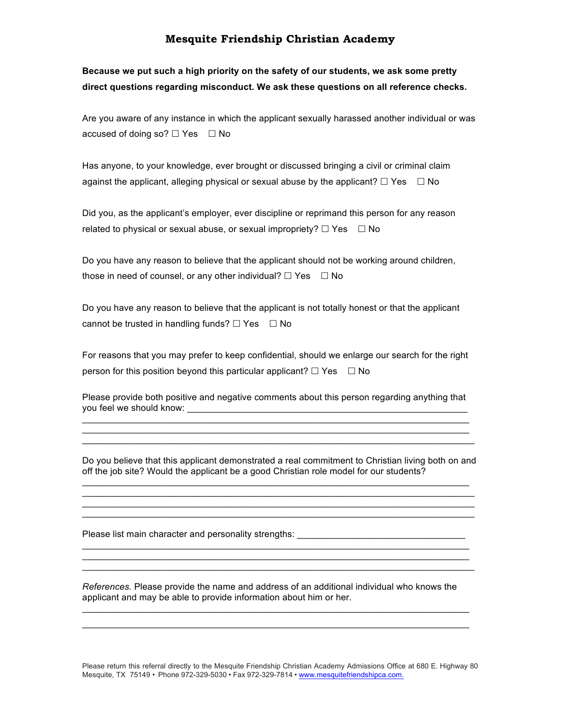**Because we put such a high priority on the safety of our students, we ask some pretty direct questions regarding misconduct. We ask these questions on all reference checks.**

Are you aware of any instance in which the applicant sexually harassed another individual or was accused of doing so?  $\Box$  Yes  $\Box$  No

Has anyone, to your knowledge, ever brought or discussed bringing a civil or criminal claim against the applicant, alleging physical or sexual abuse by the applicant?  $\Box$  Yes  $\Box$  No

Did you, as the applicant's employer, ever discipline or reprimand this person for any reason related to physical or sexual abuse, or sexual impropriety?  $\Box$  Yes  $\Box$  No

Do you have any reason to believe that the applicant should not be working around children, those in need of counsel, or any other individual?  $\Box$  Yes  $\Box$  No

Do you have any reason to believe that the applicant is not totally honest or that the applicant cannot be trusted in handling funds?  $\Box$  Yes  $\Box$  No

For reasons that you may prefer to keep confidential, should we enlarge our search for the right person for this position beyond this particular applicant?  $\Box$  Yes  $\Box$  No

Please provide both positive and negative comments about this person regarding anything that you feel we should know: \_\_\_\_\_\_\_\_\_\_\_\_\_\_\_\_\_\_\_\_\_\_\_\_\_\_\_\_\_\_\_\_\_\_\_\_\_\_\_\_\_\_\_\_\_\_\_\_\_\_\_\_\_\_\_  $\_$  , and the set of the set of the set of the set of the set of the set of the set of the set of the set of the set of the set of the set of the set of the set of the set of the set of the set of the set of the set of th

 $\_$  , and the set of the set of the set of the set of the set of the set of the set of the set of the set of the set of the set of the set of the set of the set of the set of the set of the set of the set of the set of th  $\_$  , and the set of the set of the set of the set of the set of the set of the set of the set of the set of the set of the set of the set of the set of the set of the set of the set of the set of the set of the set of th

Do you believe that this applicant demonstrated a real commitment to Christian living both on and off the job site? Would the applicant be a good Christian role model for our students?  $\_$  , and the set of the set of the set of the set of the set of the set of the set of the set of the set of the set of the set of the set of the set of the set of the set of the set of the set of the set of the set of th

 $\_$  , and the set of the set of the set of the set of the set of the set of the set of the set of the set of the set of the set of the set of the set of the set of the set of the set of the set of the set of the set of th  $\_$  , and the set of the set of the set of the set of the set of the set of the set of the set of the set of the set of the set of the set of the set of the set of the set of the set of the set of the set of the set of th  $\_$  , and the set of the set of the set of the set of the set of the set of the set of the set of the set of the set of the set of the set of the set of the set of the set of the set of the set of the set of the set of th

 $\_$  , and the set of the set of the set of the set of the set of the set of the set of the set of the set of the set of the set of the set of the set of the set of the set of the set of the set of the set of the set of th  $\_$  , and the set of the set of the set of the set of the set of the set of the set of the set of the set of the set of the set of the set of the set of the set of the set of the set of the set of the set of the set of th  $\_$  , and the set of the set of the set of the set of the set of the set of the set of the set of the set of the set of the set of the set of the set of the set of the set of the set of the set of the set of the set of th

Please list main character and personality strengths:

*References.* Please provide the name and address of an additional individual who knows the applicant and may be able to provide information about him or her.

 $\_$  , and the set of the set of the set of the set of the set of the set of the set of the set of the set of the set of the set of the set of the set of the set of the set of the set of the set of the set of the set of th  $\_$  , and the set of the set of the set of the set of the set of the set of the set of the set of the set of the set of the set of the set of the set of the set of the set of the set of the set of the set of the set of th

Please return this referral directly to the Mesquite Friendship Christian Academy Admissions Office at 680 E. Highway 80 Mesquite, TX 75149 • Phone 972-329-5030 • Fax 972-329-7814 • www.mesquitefriendshipca.com.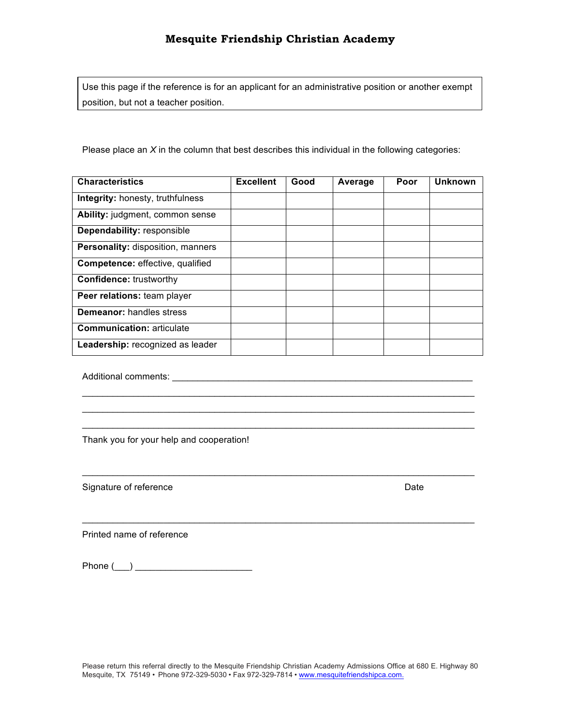Use this page if the reference is for an applicant for an administrative position or another exempt position, but not a teacher position.

Please place an *X* in the column that best describes this individual in the following categories:

| <b>Characteristics</b>                   | <b>Excellent</b> | Good | Average | Poor | <b>Unknown</b> |
|------------------------------------------|------------------|------|---------|------|----------------|
| Integrity: honesty, truthfulness         |                  |      |         |      |                |
| Ability: judgment, common sense          |                  |      |         |      |                |
| Dependability: responsible               |                  |      |         |      |                |
| <b>Personality: disposition, manners</b> |                  |      |         |      |                |
| <b>Competence:</b> effective, qualified  |                  |      |         |      |                |
| <b>Confidence: trustworthy</b>           |                  |      |         |      |                |
| Peer relations: team player              |                  |      |         |      |                |
| <b>Demeanor: handles stress</b>          |                  |      |         |      |                |
| <b>Communication: articulate</b>         |                  |      |         |      |                |
| Leadership: recognized as leader         |                  |      |         |      |                |

 $\_$  , and the set of the set of the set of the set of the set of the set of the set of the set of the set of the set of the set of the set of the set of the set of the set of the set of the set of the set of the set of th  $\_$  , and the set of the set of the set of the set of the set of the set of the set of the set of the set of the set of the set of the set of the set of the set of the set of the set of the set of the set of the set of th  $\_$  , and the set of the set of the set of the set of the set of the set of the set of the set of the set of the set of the set of the set of the set of the set of the set of the set of the set of the set of the set of th

 $\_$  , and the set of the set of the set of the set of the set of the set of the set of the set of the set of the set of the set of the set of the set of the set of the set of the set of the set of the set of the set of th

 $\_$  , and the set of the set of the set of the set of the set of the set of the set of the set of the set of the set of the set of the set of the set of the set of the set of the set of the set of the set of the set of th

Additional comments: \_\_\_\_\_\_\_\_\_\_\_\_\_\_\_\_\_\_\_\_\_\_\_\_\_\_\_\_\_\_\_\_\_\_\_\_\_\_\_\_\_\_\_\_\_\_\_\_\_\_\_\_\_\_\_\_\_\_\_

Thank you for your help and cooperation!

Signature of reference Date

Printed name of reference

Phone  $(\_\_)$